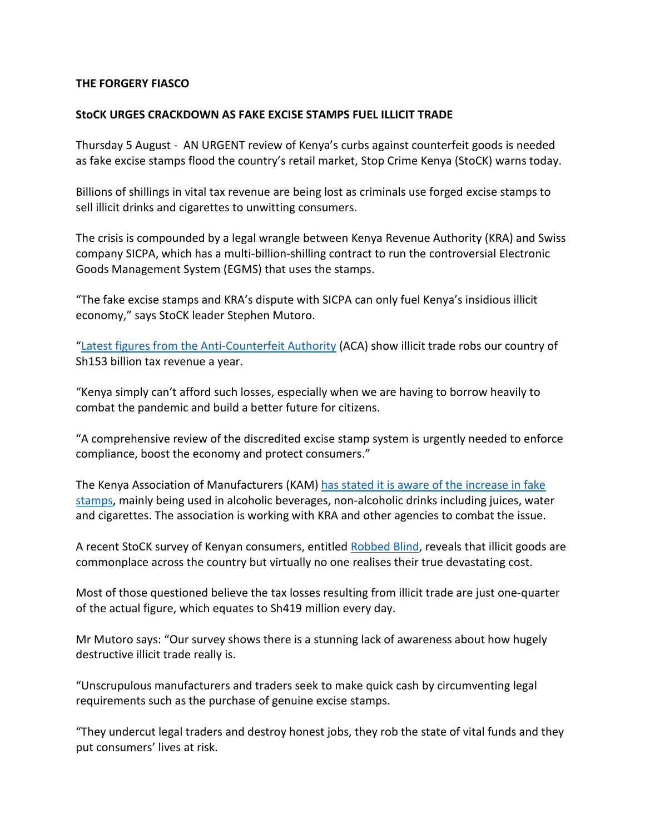## **THE FORGERY FIASCO**

## **StoCK URGES CRACKDOWN AS FAKE EXCISE STAMPS FUEL ILLICIT TRADE**

Thursday 5 August - AN URGENT review of Kenya's curbs against counterfeit goods is needed as fake excise stamps flood the country's retail market, Stop Crime Kenya (StoCK) warns today.

Billions of shillings in vital tax revenue are being lost as criminals use forged excise stamps to sell illicit drinks and cigarettes to unwitting consumers.

The crisis is compounded by a legal wrangle between Kenya Revenue Authority (KRA) and Swiss company SICPA, which has a multi-billion-shilling contract to run the controversial Electronic Goods Management System (EGMS) that uses the stamps.

"The fake excise stamps and KRA's dispute with SICPA can only fuel Kenya's insidious illicit economy," says StoCK leader Stephen Mutoro.

"[Latest figures from the Anti-Counterfeit Authority](https://www.aca.go.ke/images/2020/National_Baseline_Survey_Counterfeit_and_Illicit_Trade_In_Kenya.pdf) (ACA) show illicit trade robs our country of Sh153 billion tax revenue a year.

"Kenya simply can't afford such losses, especially when we are having to borrow heavily to combat the pandemic and build a better future for citizens.

"A comprehensive review of the discredited excise stamp system is urgently needed to enforce compliance, boost the economy and protect consumers."

The Kenya Association of Manufacturers (KAM) has stated it is aware of the increase in fake [stamps,](https://www.the-star.co.ke/business/kenya/2021-08-03-fake-stamps-rock-market-as-swiss-company-mints-billions/) mainly being used in alcoholic beverages, non-alcoholic drinks including juices, water and cigarettes. The association is working with KRA and other agencies to combat the issue.

A recent StoCK survey of Kenyan consumers, entitled [Robbed Blind,](https://stopcrimekenya.co.ke/survey.pdf) reveals that illicit goods are commonplace across the country but virtually no one realises their true devastating cost.

Most of those questioned believe the tax losses resulting from illicit trade are just one-quarter of the actual figure, which equates to Sh419 million every day.

Mr Mutoro says: "Our survey shows there is a stunning lack of awareness about how hugely destructive illicit trade really is.

"Unscrupulous manufacturers and traders seek to make quick cash by circumventing legal requirements such as the purchase of genuine excise stamps.

"They undercut legal traders and destroy honest jobs, they rob the state of vital funds and they put consumers' lives at risk.